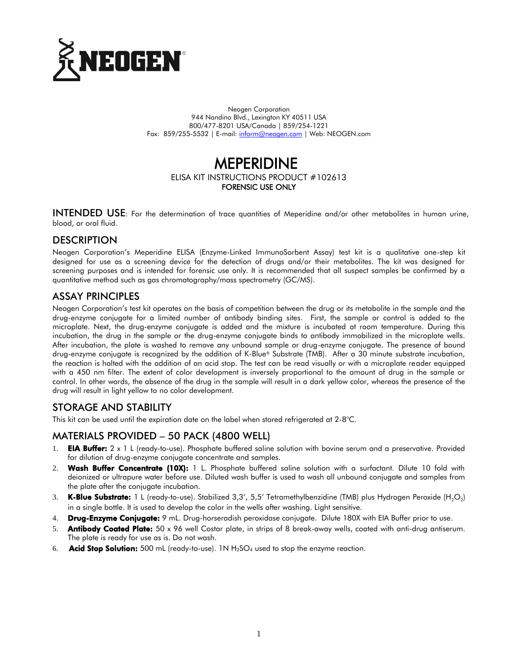

Neogen Corporation 944 Nandino Blvd., Lexington KY 40511 USA 800/477-8201 USA/Canada | 859/254-1221 Fax: 859/255-5532 | E-mail[: inform@neogen.com](mailto:inform@neogen.com) | Web: NEOGEN.com

# MEPERIDINE

#### ELISA KIT INSTRUCTIONS PRODUCT #102613 FORENSIC USE ONLY

INTENDED USE: For the determination of trace quantities of Meperidine and/or other metabolites in human urine, blood, or oral fluid.

#### **DESCRIPTION**

Neogen Corporation's Meperidine ELISA (Enzyme-Linked ImmunoSorbent Assay) test kit is a qualitative one-step kit designed for use as a screening device for the detection of drugs and/or their metabolites. The kit was designed for screening purposes and is intended for forensic use only. It is recommended that all suspect samples be confirmed by a quantitative method such as gas chromatography/mass spectrometry (GC/MS).

#### ASSAY PRINCIPLES

Neogen Corporation's test kit operates on the basis of competition between the drug or its metabolite in the sample and the drug-enzyme conjugate for a limited number of antibody binding sites. First, the sample or control is added to the microplate. Next, the drug-enzyme conjugate is added and the mixture is incubated at room temperature. During this incubation, the drug in the sample or the drug-enzyme conjugate binds to antibody immobilized in the microplate wells. After incubation, the plate is washed to remove any unbound sample or drug-enzyme conjugate. The presence of bound drug-enzyme conjugate is recognized by the addition of K-Blue® Substrate (TMB). After a 30 minute substrate incubation, the reaction is halted with the addition of an acid stop. The test can be read visually or with a microplate reader equipped with a 450 nm filter. The extent of color development is inversely proportional to the amount of drug in the sample or control. In other words, the absence of the drug in the sample will result in a dark yellow color, whereas the presence of the drug will result in light yellow to no color development.

# STORAGE AND STABILITY

This kit can be used until the expiration date on the label when stored refrigerated at 2-8°C.

# MATERIALS PROVIDED – 50 PACK (4800 WELL)

- 1. **EIA Buffer:**  $2 \times 1$  L (ready-to-use). Phosphate buffered saline solution with bovine serum and a preservative. Provided for dilution of drug-enzyme conjugate concentrate and samples.
- 2. Wash Buffer Concentrate (10X): 1 L. Phosphate buffered saline solution with a surfactant. Dilute 10 fold with deionized or ultrapure water before use. Diluted wash buffer is used to wash all unbound conjugate and samples from the plate after the conjugate incubation.
- 3. **K-Blue Substrate:** 1 L (ready-to-use). Stabilized 3,3′, 5,5′ Tetramethylbenzidine (TMB) plus Hydrogen Peroxide (H<sub>2</sub>O<sub>2</sub>) in a single bottle. It is used to develop the color in the wells after washing. Light sensitive.
- 4. Drug-Enzyme Conjugate: 9 mL. Drug-horseradish peroxidase conjugate. Dilute 180X with EIA Buffer prior to use.
- 5. **Antibody Coated Plate:** 50 x 96 well Costar plate, in strips of 8 break-away wells, coated with anti-drug antiserum. The plate is ready for use as is. Do not wash.
- 6. **Acid Stop Solution:** 500 mL (ready-to-use). 1N  $H_2SO_4$  used to stop the enzyme reaction.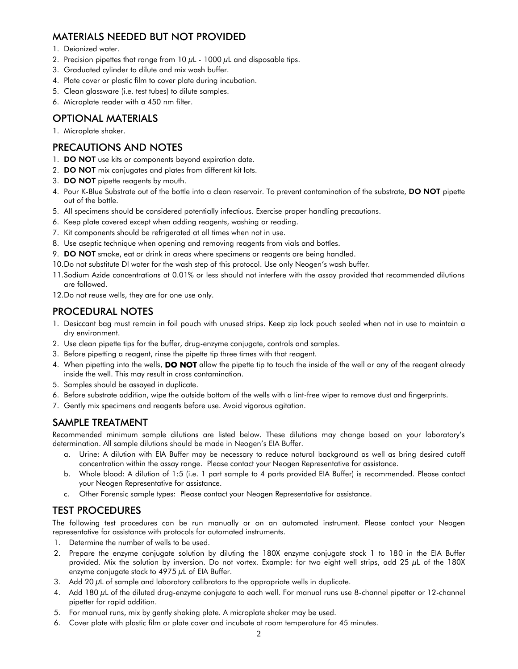# MATERIALS NEEDED BUT NOT PROVIDED

- 1. Deionized water.
- 2. Precision pipettes that range from  $10 \mu$ L  $1000 \mu$ L and disposable tips.
- 3. Graduated cylinder to dilute and mix wash buffer.
- 4. Plate cover or plastic film to cover plate during incubation.
- 5. Clean glassware (i.e. test tubes) to dilute samples.
- 6. Microplate reader with a 450 nm filter.

# OPTIONAL MATERIALS

1. Microplate shaker.

#### PRECAUTIONS AND NOTES

- 1. **DO NOT** use kits or components beyond expiration date.
- 2. DO NOT mix conjugates and plates from different kit lots.
- 3. DO NOT pipette reagents by mouth.
- 4. Pour K-Blue Substrate out of the bottle into a clean reservoir. To prevent contamination of the substrate, DO NOT pipette out of the bottle.
- 5. All specimens should be considered potentially infectious. Exercise proper handling precautions.
- 6. Keep plate covered except when adding reagents, washing or reading.
- 7. Kit components should be refrigerated at all times when not in use.
- 8. Use aseptic technique when opening and removing reagents from vials and bottles.
- 9. DO NOT smoke, eat or drink in areas where specimens or reagents are being handled.
- 10.Do not substitute DI water for the wash step of this protocol. Use only Neogen's wash buffer.
- 11.Sodium Azide concentrations at 0.01% or less should not interfere with the assay provided that recommended dilutions are followed.
- 12.Do not reuse wells, they are for one use only.

# PROCEDURAL NOTES

- 1. Desiccant bag must remain in foil pouch with unused strips. Keep zip lock pouch sealed when not in use to maintain a dry environment.
- 2. Use clean pipette tips for the buffer, drug-enzyme conjugate, controls and samples.
- 3. Before pipetting a reagent, rinse the pipette tip three times with that reagent.
- 4. When pipetting into the wells, **DO NOT** allow the pipette tip to touch the inside of the well or any of the reagent already inside the well. This may result in cross contamination.
- 5. Samples should be assayed in duplicate.
- 6. Before substrate addition, wipe the outside bottom of the wells with a lint-free wiper to remove dust and fingerprints.
- 7. Gently mix specimens and reagents before use. Avoid vigorous agitation.

# SAMPLE TREATMENT

Recommended minimum sample dilutions are listed below. These dilutions may change based on your laboratory's determination. All sample dilutions should be made in Neogen's EIA Buffer.

- a. Urine: A dilution with EIA Buffer may be necessary to reduce natural background as well as bring desired cutoff concentration within the assay range. Please contact your Neogen Representative for assistance.
- b. Whole blood: A dilution of 1:5 (i.e. 1 part sample to 4 parts provided EIA Buffer) is recommended. Please contact your Neogen Representative for assistance.
- c. Other Forensic sample types: Please contact your Neogen Representative for assistance.

# TEST PROCEDURES

The following test procedures can be run manually or on an automated instrument. Please contact your Neogen representative for assistance with protocols for automated instruments.

- 1. Determine the number of wells to be used.
- 2. Prepare the enzyme conjugate solution by diluting the 180X enzyme conjugate stock 1 to 180 in the EIA Buffer provided. Mix the solution by inversion. Do not vortex. Example: for two eight well strips, add 25 µL of the 180X enzyme conjugate stock to 4975  $\mu$ L of EIA Buffer.
- 3. Add 20  $\mu$ L of sample and laboratory calibrators to the appropriate wells in duplicate.
- 4. Add 180 µL of the diluted drug-enzyme conjugate to each well. For manual runs use 8-channel pipetter or 12-channel pipetter for rapid addition.
- 5. For manual runs, mix by gently shaking plate. A microplate shaker may be used.
- 6. Cover plate with plastic film or plate cover and incubate at room temperature for 45 minutes.